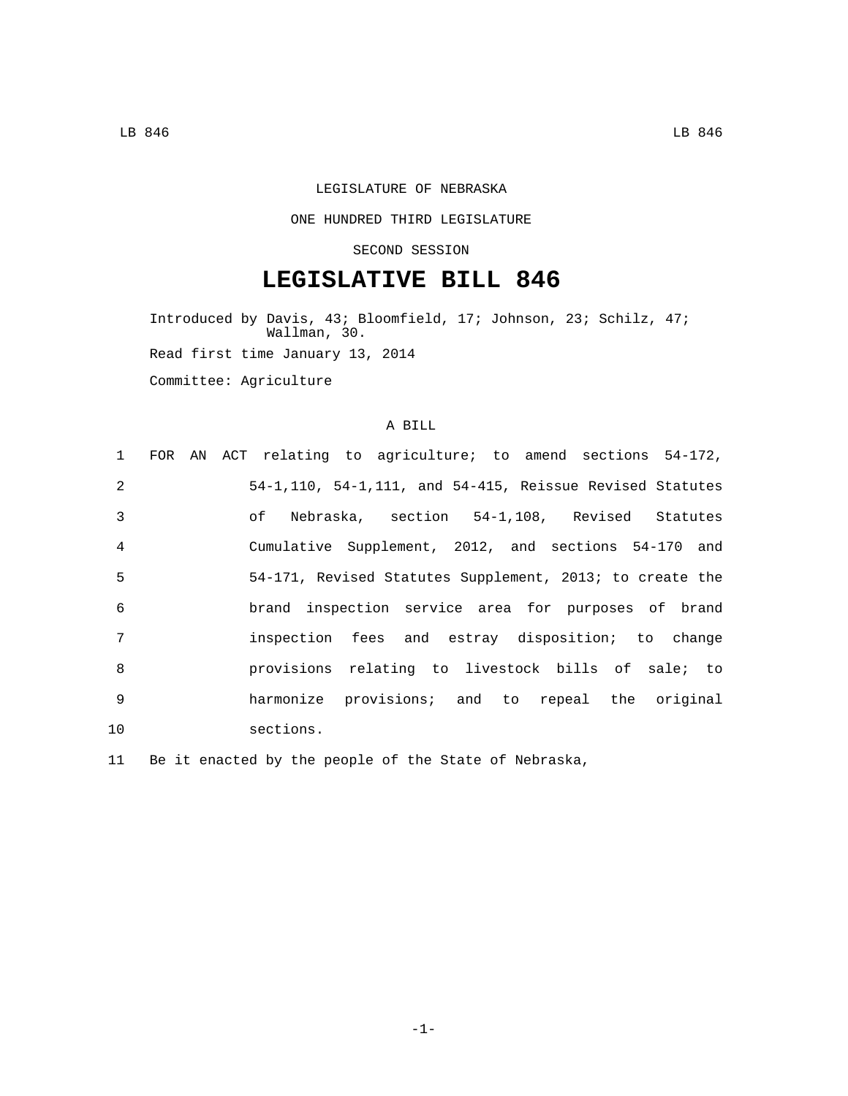## LEGISLATURE OF NEBRASKA

## ONE HUNDRED THIRD LEGISLATURE

SECOND SESSION

## **LEGISLATIVE BILL 846**

Introduced by Davis, 43; Bloomfield, 17; Johnson, 23; Schilz, 47; Wallman, 30. Read first time January 13, 2014 Committee: Agriculture

## A BILL

|                |  | 1 FOR AN ACT relating to agriculture; to amend sections 54-172, |  |  |  |  |
|----------------|--|-----------------------------------------------------------------|--|--|--|--|
| $\mathfrak{D}$ |  | 54-1,110, 54-1,111, and 54-415, Reissue Revised Statutes        |  |  |  |  |
| $\mathcal{E}$  |  | of Nebraska, section 54-1,108, Revised Statutes                 |  |  |  |  |
| $\overline{4}$ |  | Cumulative Supplement, 2012, and sections 54-170 and            |  |  |  |  |
| 5              |  | 54-171, Revised Statutes Supplement, 2013; to create the        |  |  |  |  |
| 6              |  | brand inspection service area for purposes of brand             |  |  |  |  |
| 7              |  | inspection fees and estray disposition; to change               |  |  |  |  |
| 8              |  | provisions relating to livestock bills of sale; to              |  |  |  |  |
| 9              |  | harmonize provisions; and to repeal the original                |  |  |  |  |
| 10             |  | sections.                                                       |  |  |  |  |

11 Be it enacted by the people of the State of Nebraska,

-1-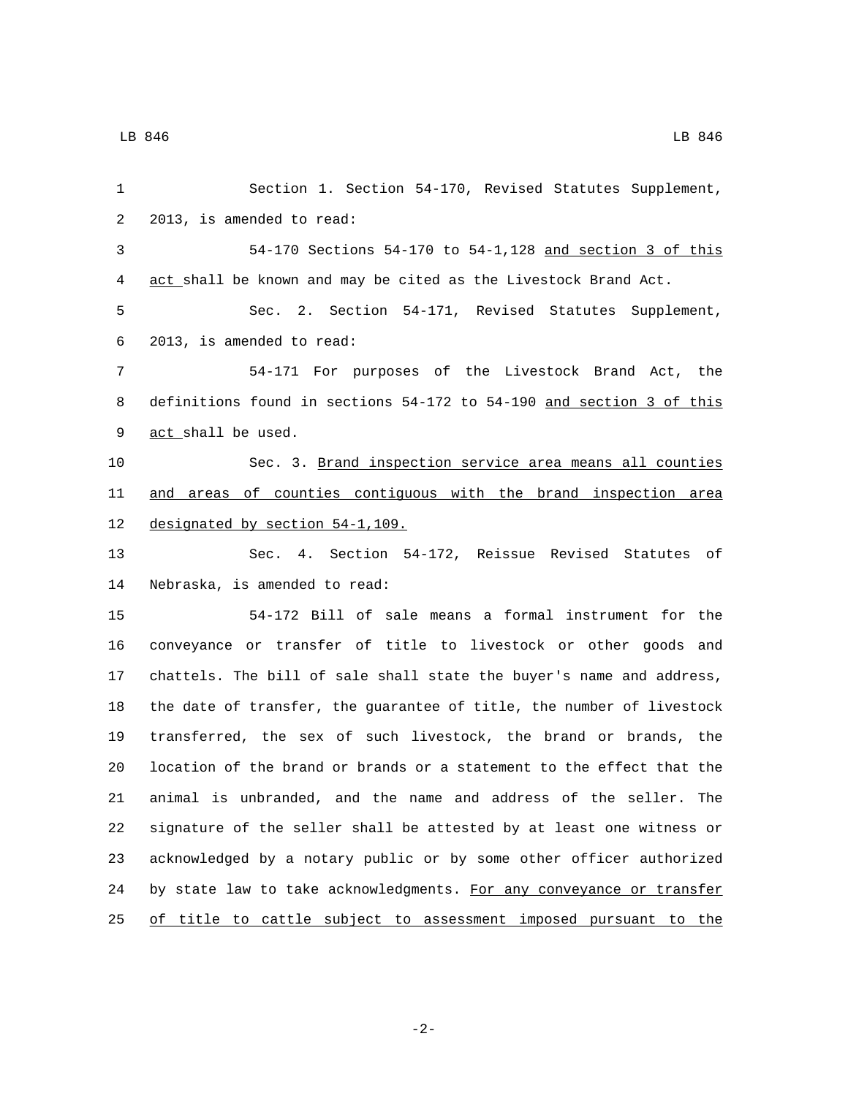| 1  | Section 1. Section 54-170, Revised Statutes Supplement,               |
|----|-----------------------------------------------------------------------|
| 2  | 2013, is amended to read:                                             |
| 3  | 54-170 Sections 54-170 to 54-1,128 and section 3 of this              |
| 4  | act shall be known and may be cited as the Livestock Brand Act.       |
| 5  | Sec. 2. Section 54-171, Revised Statutes Supplement,                  |
| 6  | 2013, is amended to read:                                             |
| 7  | 54-171 For purposes of the Livestock Brand Act, the                   |
| 8  | definitions found in sections 54-172 to 54-190 and section 3 of this  |
| 9  | act shall be used.                                                    |
| 10 | Sec. 3. Brand inspection service area means all counties              |
| 11 | and areas of counties contiguous with the brand inspection area       |
| 12 | designated by section 54-1, 109.                                      |
| 13 | Sec. 4. Section 54-172, Reissue Revised Statutes of                   |
| 14 | Nebraska, is amended to read:                                         |
| 15 | 54-172 Bill of sale means a formal instrument for the                 |
| 16 | conveyance or transfer of title to livestock or other goods and       |
| 17 | chattels. The bill of sale shall state the buyer's name and address,  |
| 18 | the date of transfer, the guarantee of title, the number of livestock |
| 19 | transferred, the sex of such livestock, the brand or brands, the      |
| 20 | location of the brand or brands or a statement to the effect that the |
| 21 | animal is unbranded, and the name and address of the seller. The      |
| 22 | signature of the seller shall be attested by at least one witness or  |
| 23 | acknowledged by a notary public or by some other officer authorized   |
| 24 | by state law to take acknowledgments. For any conveyance or transfer  |
| 25 | of title to cattle subject to assessment imposed pursuant to the      |

-2-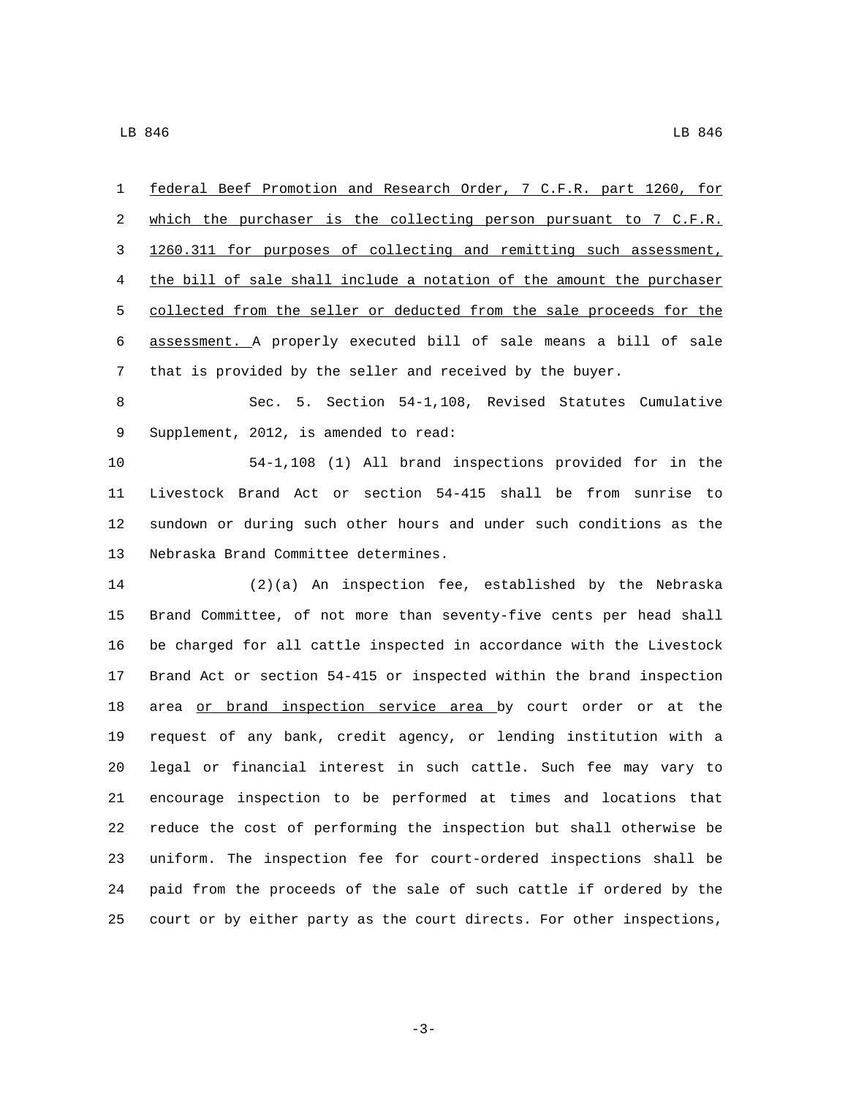federal Beef Promotion and Research Order, 7 C.F.R. part 1260, for 2 which the purchaser is the collecting person pursuant to 7 C.F.R. 1260.311 for purposes of collecting and remitting such assessment, the bill of sale shall include a notation of the amount the purchaser 5 collected from the seller or deducted from the sale proceeds for the assessment. A properly executed bill of sale means a bill of sale that is provided by the seller and received by the buyer.

 Sec. 5. Section 54-1,108, Revised Statutes Cumulative 9 Supplement, 2012, is amended to read:

 54-1,108 (1) All brand inspections provided for in the Livestock Brand Act or section 54-415 shall be from sunrise to sundown or during such other hours and under such conditions as the 13 Nebraska Brand Committee determines.

 (2)(a) An inspection fee, established by the Nebraska Brand Committee, of not more than seventy-five cents per head shall be charged for all cattle inspected in accordance with the Livestock Brand Act or section 54-415 or inspected within the brand inspection 18 area or brand inspection service area by court order or at the request of any bank, credit agency, or lending institution with a legal or financial interest in such cattle. Such fee may vary to encourage inspection to be performed at times and locations that reduce the cost of performing the inspection but shall otherwise be uniform. The inspection fee for court-ordered inspections shall be paid from the proceeds of the sale of such cattle if ordered by the court or by either party as the court directs. For other inspections,

-3-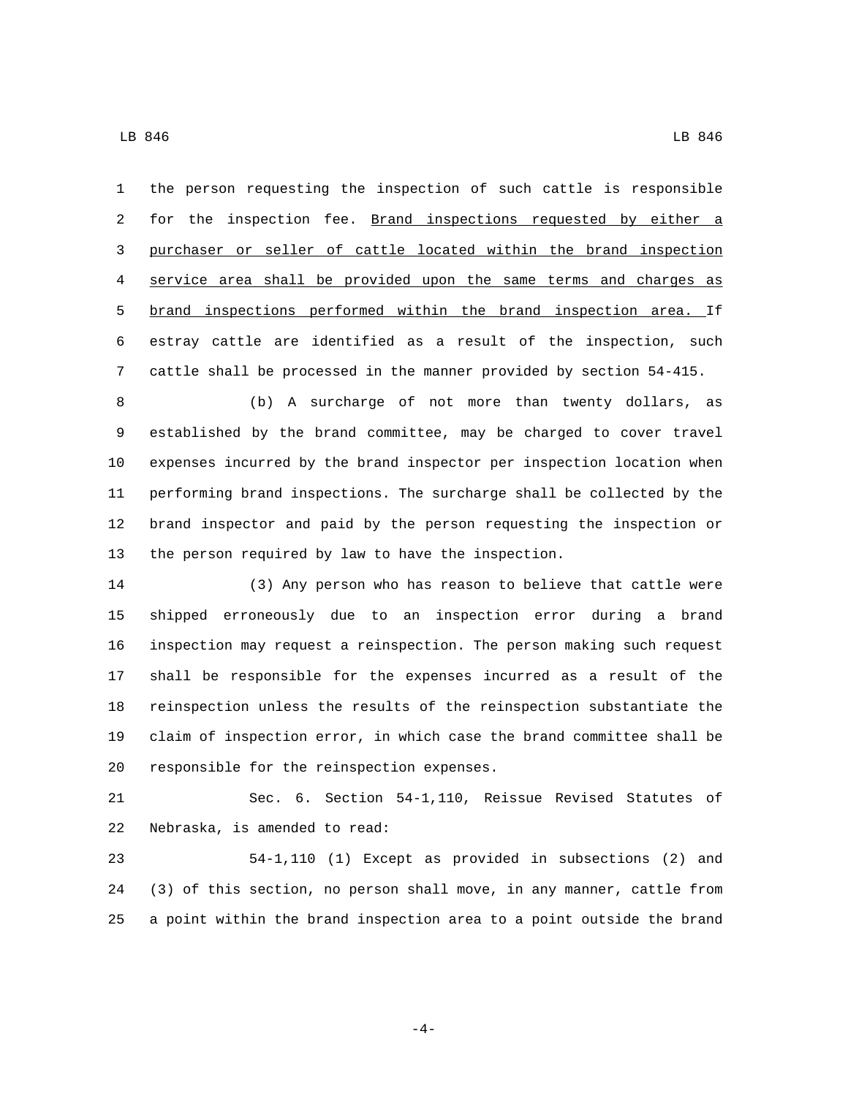the person requesting the inspection of such cattle is responsible 2 for the inspection fee. Brand inspections requested by either a purchaser or seller of cattle located within the brand inspection service area shall be provided upon the same terms and charges as brand inspections performed within the brand inspection area. If estray cattle are identified as a result of the inspection, such cattle shall be processed in the manner provided by section 54-415.

 (b) A surcharge of not more than twenty dollars, as established by the brand committee, may be charged to cover travel expenses incurred by the brand inspector per inspection location when performing brand inspections. The surcharge shall be collected by the brand inspector and paid by the person requesting the inspection or the person required by law to have the inspection.

 (3) Any person who has reason to believe that cattle were shipped erroneously due to an inspection error during a brand inspection may request a reinspection. The person making such request shall be responsible for the expenses incurred as a result of the reinspection unless the results of the reinspection substantiate the claim of inspection error, in which case the brand committee shall be 20 responsible for the reinspection expenses.

 Sec. 6. Section 54-1,110, Reissue Revised Statutes of 22 Nebraska, is amended to read:

 54-1,110 (1) Except as provided in subsections (2) and (3) of this section, no person shall move, in any manner, cattle from a point within the brand inspection area to a point outside the brand

-4-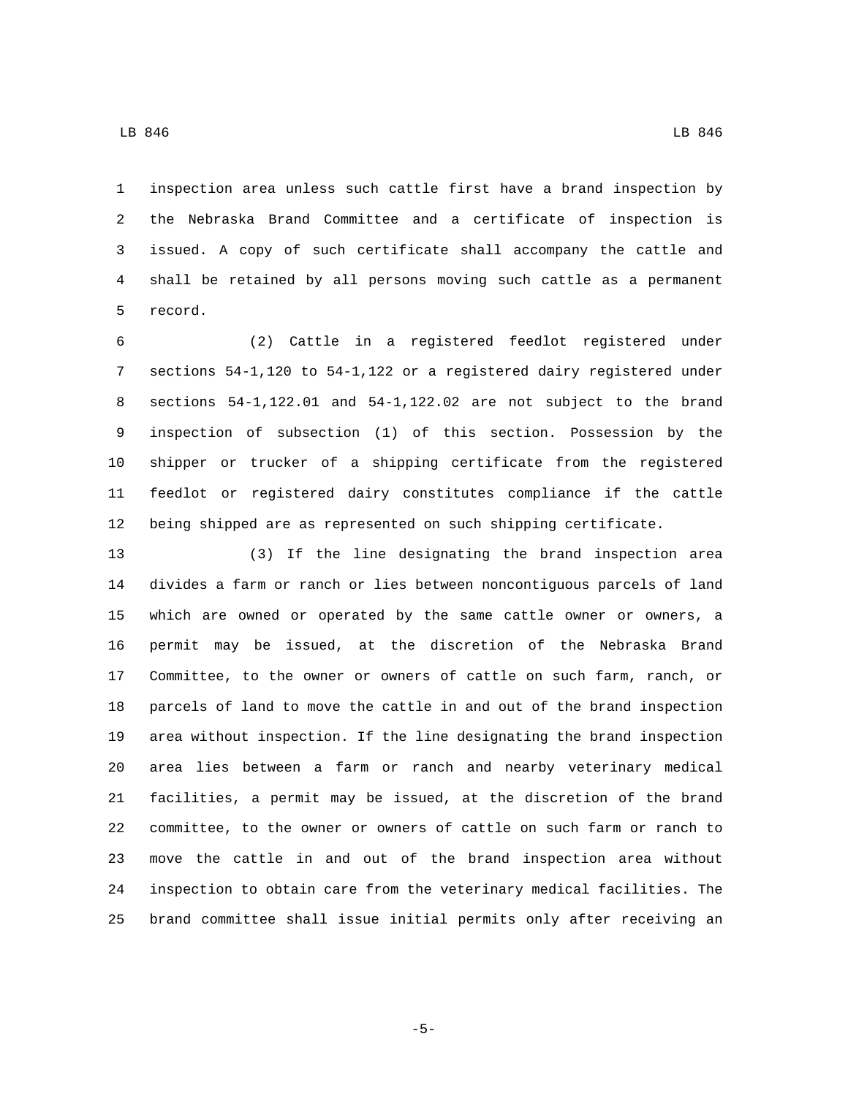inspection area unless such cattle first have a brand inspection by the Nebraska Brand Committee and a certificate of inspection is issued. A copy of such certificate shall accompany the cattle and shall be retained by all persons moving such cattle as a permanent 5 record.

 (2) Cattle in a registered feedlot registered under sections 54-1,120 to 54-1,122 or a registered dairy registered under sections 54-1,122.01 and 54-1,122.02 are not subject to the brand inspection of subsection (1) of this section. Possession by the shipper or trucker of a shipping certificate from the registered feedlot or registered dairy constitutes compliance if the cattle being shipped are as represented on such shipping certificate.

 (3) If the line designating the brand inspection area divides a farm or ranch or lies between noncontiguous parcels of land which are owned or operated by the same cattle owner or owners, a permit may be issued, at the discretion of the Nebraska Brand Committee, to the owner or owners of cattle on such farm, ranch, or parcels of land to move the cattle in and out of the brand inspection area without inspection. If the line designating the brand inspection area lies between a farm or ranch and nearby veterinary medical facilities, a permit may be issued, at the discretion of the brand committee, to the owner or owners of cattle on such farm or ranch to move the cattle in and out of the brand inspection area without inspection to obtain care from the veterinary medical facilities. The brand committee shall issue initial permits only after receiving an

-5-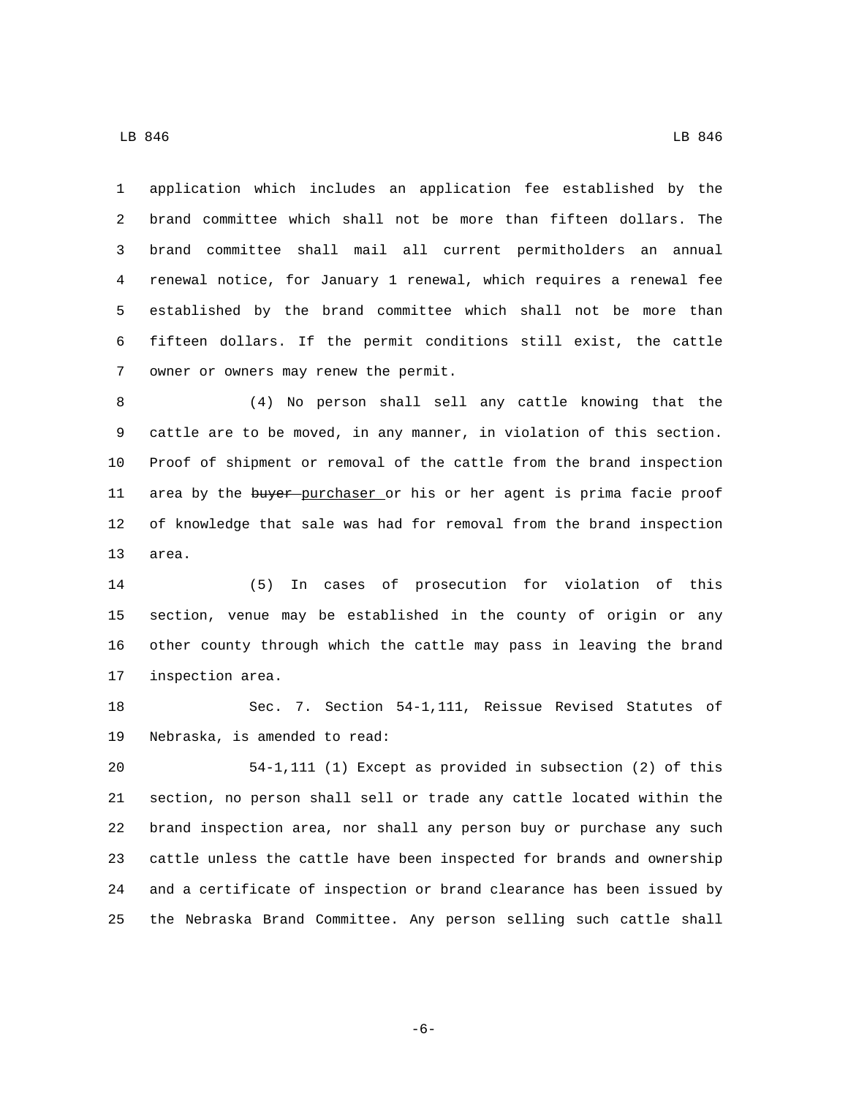application which includes an application fee established by the brand committee which shall not be more than fifteen dollars. The brand committee shall mail all current permitholders an annual renewal notice, for January 1 renewal, which requires a renewal fee established by the brand committee which shall not be more than fifteen dollars. If the permit conditions still exist, the cattle 7 owner or owners may renew the permit.

 (4) No person shall sell any cattle knowing that the cattle are to be moved, in any manner, in violation of this section. Proof of shipment or removal of the cattle from the brand inspection 11 area by the buyer purchaser or his or her agent is prima facie proof of knowledge that sale was had for removal from the brand inspection 13 area.

 (5) In cases of prosecution for violation of this section, venue may be established in the county of origin or any other county through which the cattle may pass in leaving the brand 17 inspection area.

 Sec. 7. Section 54-1,111, Reissue Revised Statutes of 19 Nebraska, is amended to read:

 54-1,111 (1) Except as provided in subsection (2) of this section, no person shall sell or trade any cattle located within the brand inspection area, nor shall any person buy or purchase any such cattle unless the cattle have been inspected for brands and ownership and a certificate of inspection or brand clearance has been issued by the Nebraska Brand Committee. Any person selling such cattle shall

-6-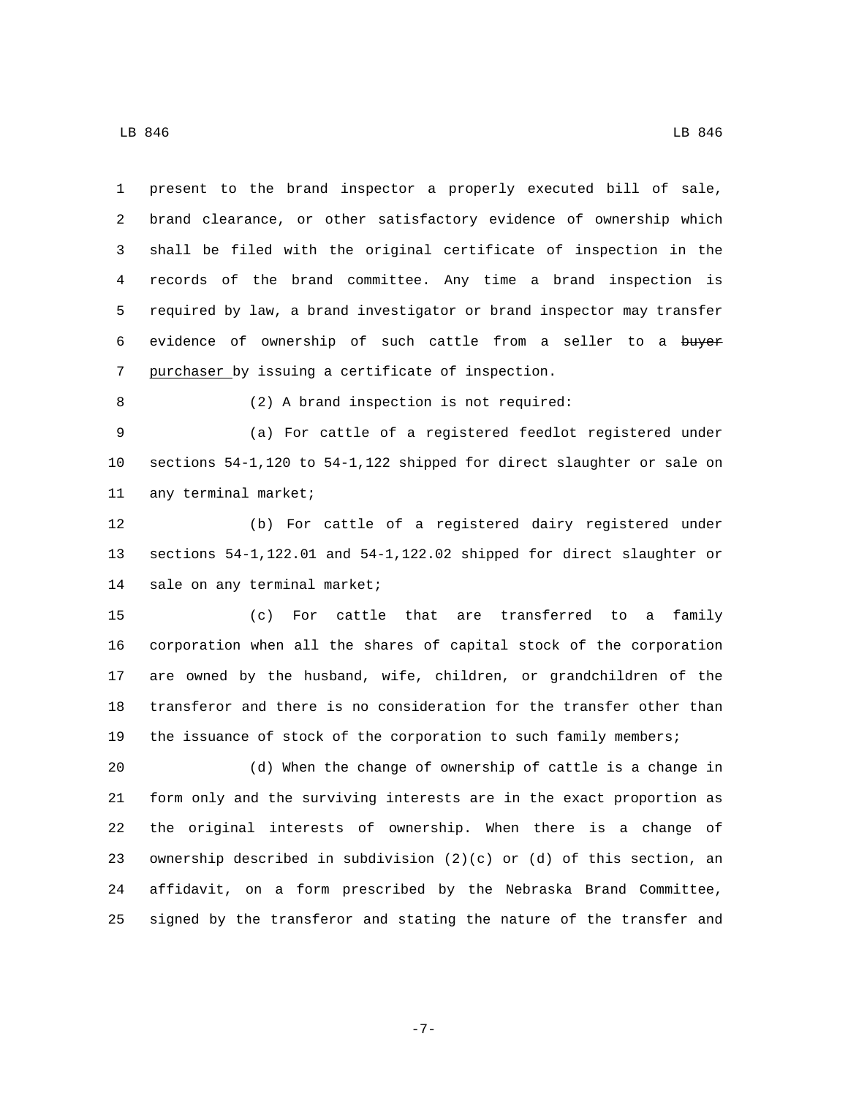present to the brand inspector a properly executed bill of sale, brand clearance, or other satisfactory evidence of ownership which shall be filed with the original certificate of inspection in the records of the brand committee. Any time a brand inspection is required by law, a brand investigator or brand inspector may transfer 6 evidence of ownership of such cattle from a seller to a buyer 7 purchaser by issuing a certificate of inspection. (2) A brand inspection is not required: (a) For cattle of a registered feedlot registered under sections 54-1,120 to 54-1,122 shipped for direct slaughter or sale on 11 any terminal market; (b) For cattle of a registered dairy registered under sections 54-1,122.01 and 54-1,122.02 shipped for direct slaughter or 14 sale on any terminal market; (c) For cattle that are transferred to a family corporation when all the shares of capital stock of the corporation are owned by the husband, wife, children, or grandchildren of the transferor and there is no consideration for the transfer other than the issuance of stock of the corporation to such family members; (d) When the change of ownership of cattle is a change in form only and the surviving interests are in the exact proportion as the original interests of ownership. When there is a change of ownership described in subdivision (2)(c) or (d) of this section, an affidavit, on a form prescribed by the Nebraska Brand Committee,

signed by the transferor and stating the nature of the transfer and

-7-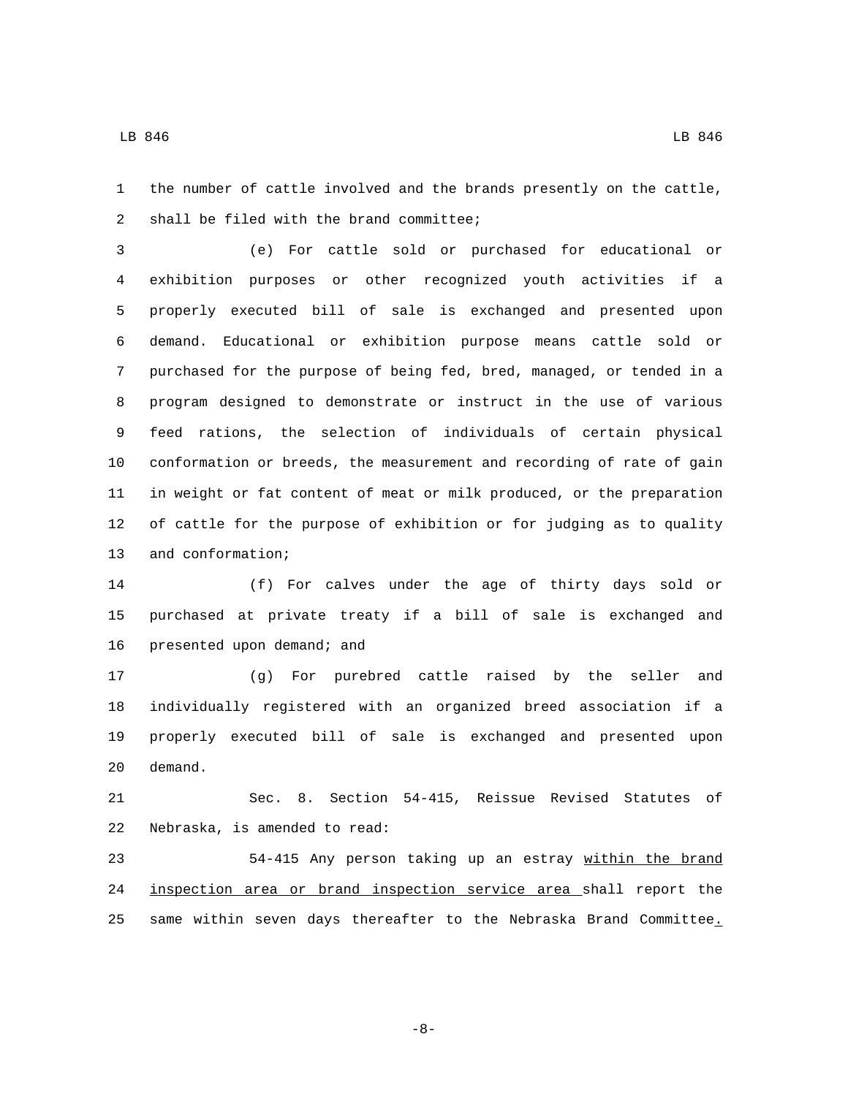the number of cattle involved and the brands presently on the cattle, 2 shall be filed with the brand committee;

 (e) For cattle sold or purchased for educational or exhibition purposes or other recognized youth activities if a properly executed bill of sale is exchanged and presented upon demand. Educational or exhibition purpose means cattle sold or purchased for the purpose of being fed, bred, managed, or tended in a program designed to demonstrate or instruct in the use of various feed rations, the selection of individuals of certain physical conformation or breeds, the measurement and recording of rate of gain in weight or fat content of meat or milk produced, or the preparation of cattle for the purpose of exhibition or for judging as to quality 13 and conformation;

 (f) For calves under the age of thirty days sold or purchased at private treaty if a bill of sale is exchanged and 16 presented upon demand; and

 (g) For purebred cattle raised by the seller and individually registered with an organized breed association if a properly executed bill of sale is exchanged and presented upon 20 demand.

 Sec. 8. Section 54-415, Reissue Revised Statutes of 22 Nebraska, is amended to read:

 54-415 Any person taking up an estray within the brand inspection area or brand inspection service area shall report the 25 same within seven days thereafter to the Nebraska Brand Committee.

-8-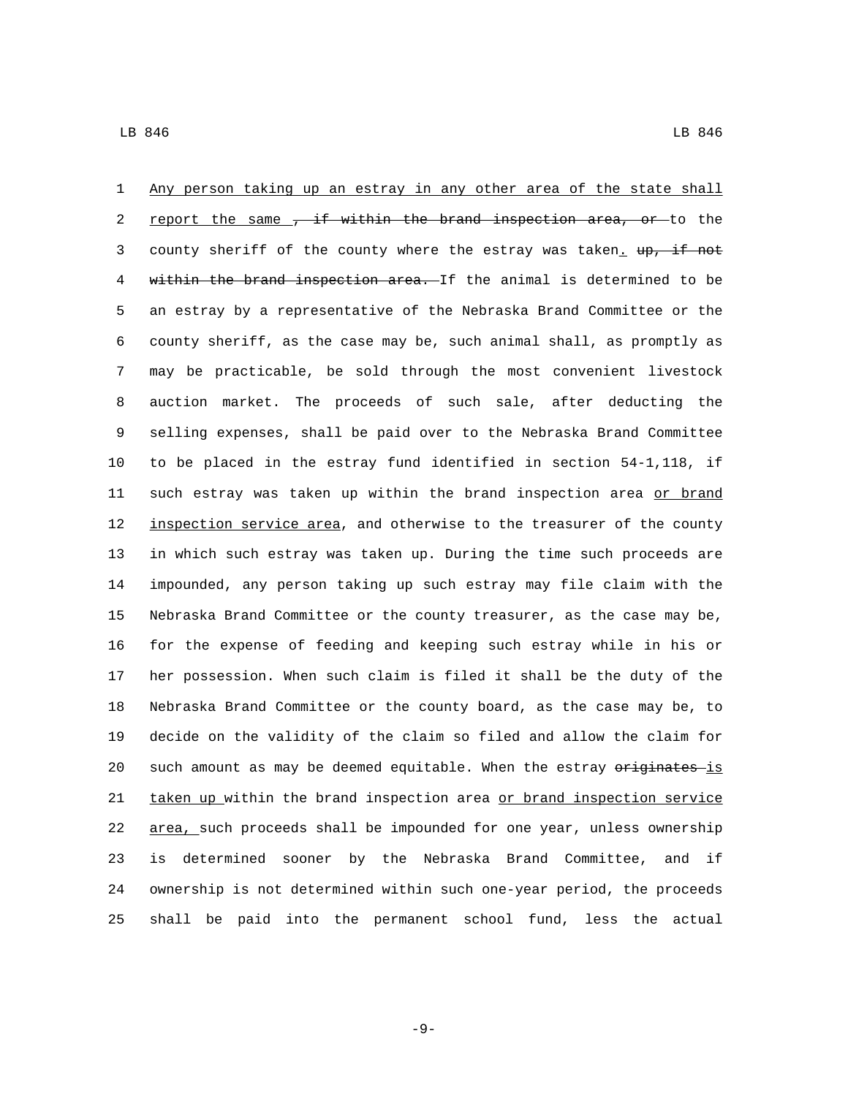Any person taking up an estray in any other area of the state shall 2 report the same , if within the brand inspection area, or to the 3 county sheriff of the county where the estray was taken. up, if not 4 within the brand inspection area. If the animal is determined to be an estray by a representative of the Nebraska Brand Committee or the county sheriff, as the case may be, such animal shall, as promptly as may be practicable, be sold through the most convenient livestock auction market. The proceeds of such sale, after deducting the selling expenses, shall be paid over to the Nebraska Brand Committee to be placed in the estray fund identified in section 54-1,118, if 11 such estray was taken up within the brand inspection area or brand 12 inspection service area, and otherwise to the treasurer of the county in which such estray was taken up. During the time such proceeds are impounded, any person taking up such estray may file claim with the Nebraska Brand Committee or the county treasurer, as the case may be, for the expense of feeding and keeping such estray while in his or her possession. When such claim is filed it shall be the duty of the Nebraska Brand Committee or the county board, as the case may be, to decide on the validity of the claim so filed and allow the claim for 20 such amount as may be deemed equitable. When the estray originates is 21 taken up within the brand inspection area or brand inspection service area, such proceeds shall be impounded for one year, unless ownership is determined sooner by the Nebraska Brand Committee, and if ownership is not determined within such one-year period, the proceeds shall be paid into the permanent school fund, less the actual

-9-